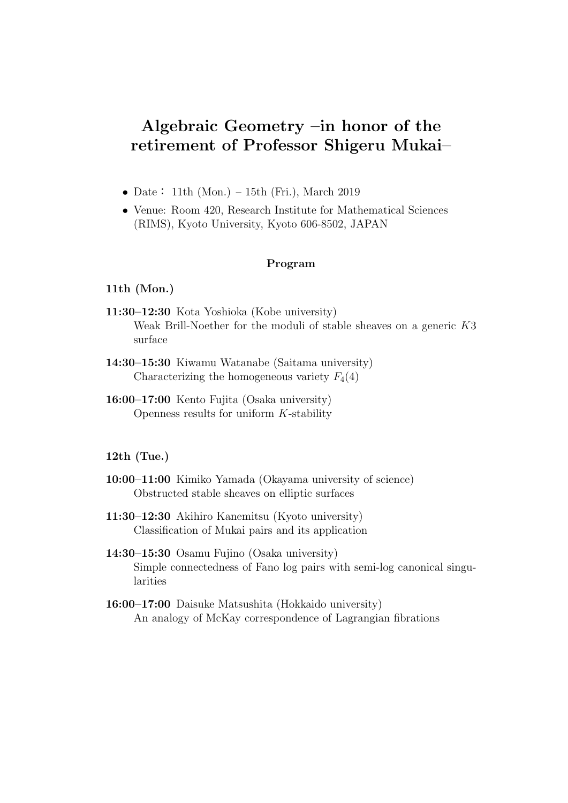# **Algebraic Geometry –in honor of the retirement of Professor Shigeru Mukai–**

- Date: 11th (Mon.) 15th (Fri.), March 2019
- *•* Venue: Room 420, Research Institute for Mathematical Sciences (RIMS), Kyoto University, Kyoto 606-8502, JAPAN

# **Program**

# **11th (Mon.)**

- **11:30–12:30** Kota Yoshioka (Kobe university) Weak Brill-Noether for the moduli of stable sheaves on a generic *K*3 surface
- **14:30–15:30** Kiwamu Watanabe (Saitama university) Characterizing the homogeneous variety  $F_4(4)$
- **16:00–17:00** Kento Fujita (Osaka university) Openness results for uniform *K*-stability

# **12th (Tue.)**

- **10:00–11:00** Kimiko Yamada (Okayama university of science) Obstructed stable sheaves on elliptic surfaces
- **11:30–12:30** Akihiro Kanemitsu (Kyoto university) Classification of Mukai pairs and its application
- **14:30–15:30** Osamu Fujino (Osaka university) Simple connectedness of Fano log pairs with semi-log canonical singularities
- **16:00–17:00** Daisuke Matsushita (Hokkaido university) An analogy of McKay correspondence of Lagrangian fibrations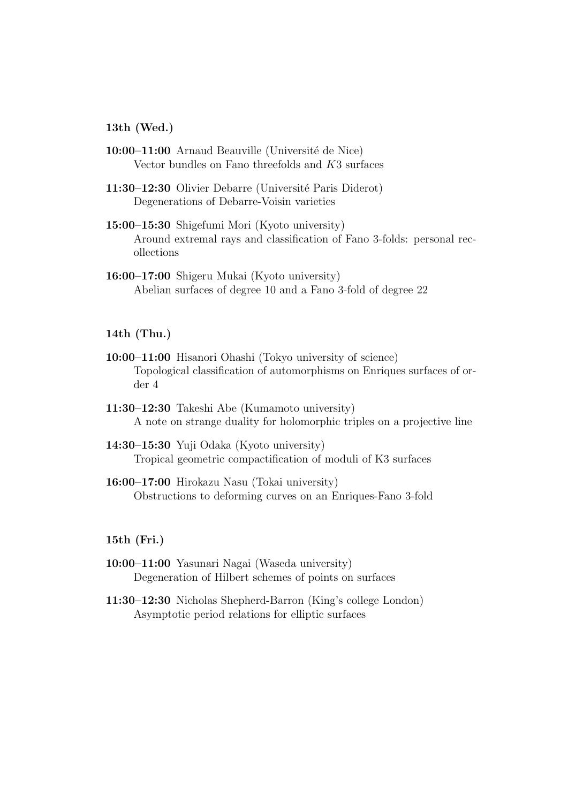### **13th (Wed.)**

- 10:00–11:00 Arnaud Beauville (Université de Nice) Vector bundles on Fano threefolds and *K*3 surfaces
- **11:30–12:30** Olivier Debarre (Université Paris Diderot) Degenerations of Debarre-Voisin varieties
- **15:00–15:30** Shigefumi Mori (Kyoto university) Around extremal rays and classification of Fano 3-folds: personal recollections
- **16:00–17:00** Shigeru Mukai (Kyoto university) Abelian surfaces of degree 10 and a Fano 3-fold of degree 22

# **14th (Thu.)**

- **10:00–11:00** Hisanori Ohashi (Tokyo university of science) Topological classification of automorphisms on Enriques surfaces of order 4
- **11:30–12:30** Takeshi Abe (Kumamoto university) A note on strange duality for holomorphic triples on a projective line
- **14:30–15:30** Yuji Odaka (Kyoto university) Tropical geometric compactification of moduli of K3 surfaces
- **16:00–17:00** Hirokazu Nasu (Tokai university) Obstructions to deforming curves on an Enriques-Fano 3-fold

#### **15th (Fri.)**

- **10:00–11:00** Yasunari Nagai (Waseda university) Degeneration of Hilbert schemes of points on surfaces
- **11:30–12:30** Nicholas Shepherd-Barron (King's college London) Asymptotic period relations for elliptic surfaces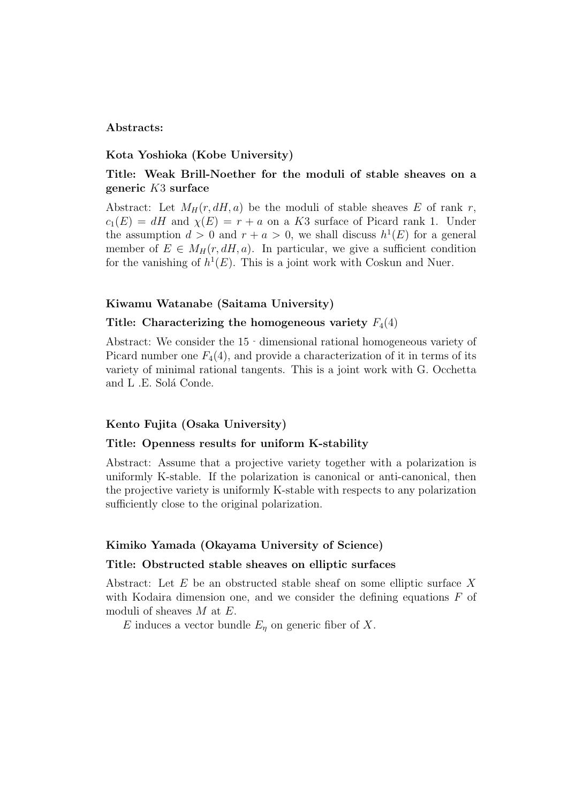### **Abstracts:**

### **Kota Yoshioka (Kobe University)**

# **Title: Weak Brill-Noether for the moduli of stable sheaves on a generic** *K*3 **surface**

Abstract: Let  $M_H(r, dH, a)$  be the moduli of stable sheaves E of rank r,  $c_1(E) = dH$  and  $\chi(E) = r + a$  on a *K*3 surface of Picard rank 1. Under the assumption  $d > 0$  and  $r + a > 0$ , we shall discuss  $h^1(E)$  for a general member of  $E \in M_H(r, dH, a)$ . In particular, we give a sufficient condition for the vanishing of  $h^1(E)$ . This is a joint work with Coskun and Nuer.

#### **Kiwamu Watanabe (Saitama University)**

#### **Title:** Characterizing the homogeneous variety  $F_4(4)$

Abstract: We consider the 15‐dimensional rational homogeneous variety of Picard number one  $F_4(4)$ , and provide a characterization of it in terms of its variety of minimal rational tangents. This is a joint work with G. Occhetta and L.E. Solá Conde.

#### **Kento Fujita (Osaka University)**

#### **Title: Openness results for uniform K-stability**

Abstract: Assume that a projective variety together with a polarization is uniformly K-stable. If the polarization is canonical or anti-canonical, then the projective variety is uniformly K-stable with respects to any polarization sufficiently close to the original polarization.

#### **Kimiko Yamada (Okayama University of Science)**

#### **Title: Obstructed stable sheaves on elliptic surfaces**

Abstract: Let *E* be an obstructed stable sheaf on some elliptic surface *X* with Kodaira dimension one, and we consider the defining equations *F* of moduli of sheaves *M* at *E.*

*E* induces a vector bundle  $E_n$  on generic fiber of *X*.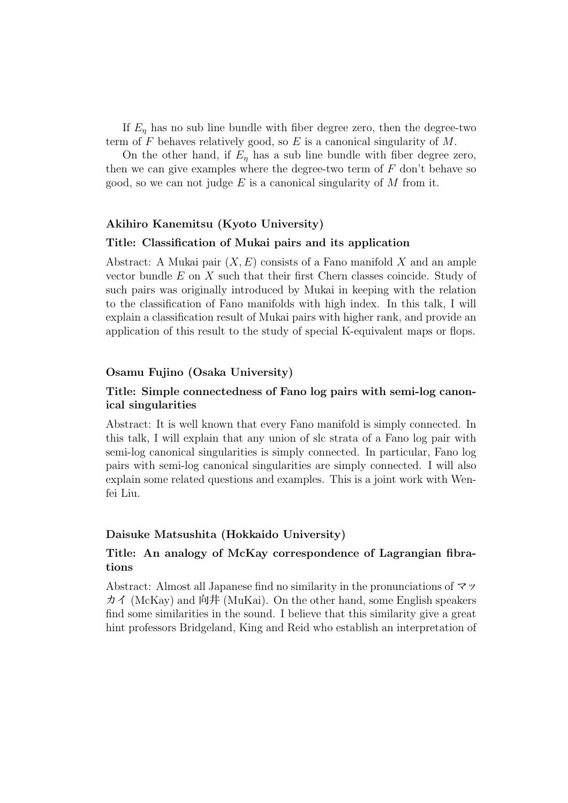If  $E_n$  has no sub line bundle with fiber degree zero, then the degree-two term of *F* behaves relatively good, so *E* is a canonical singularity of *M*.

On the other hand, if  $E_n$  has a sub line bundle with fiber degree zero, then we can give examples where the degree-two term of *F* don't behave so good, so we can not judge *E* is a canonical singularity of *M* from it.

# **Akihiro Kanemitsu (Kyoto University)**

#### **Title: Classification of Mukai pairs and its application**

Abstract: A Mukai pair (*X, E*) consists of a Fano manifold *X* and an ample vector bundle *E* on *X* such that their first Chern classes coincide. Study of such pairs was originally introduced by Mukai in keeping with the relation to the classification of Fano manifolds with high index. In this talk, I will explain a classification result of Mukai pairs with higher rank, and provide an application of this result to the study of special K-equivalent maps or flops.

# **Osamu Fujino (Osaka University)**

# **Title: Simple connectedness of Fano log pairs with semi-log canonical singularities**

Abstract: It is well known that every Fano manifold is simply connected. In this talk, I will explain that any union of slc strata of a Fano log pair with semi-log canonical singularities is simply connected. In particular, Fano log pairs with semi-log canonical singularities are simply connected. I will also explain some related questions and examples. This is a joint work with Wenfei Liu.

#### **Daisuke Matsushita (Hokkaido University)**

# **Title: An analogy of McKay correspondence of Lagrangian fibrations**

Abstract: Almost all Japanese find no similarity in the pronunciations of マッ カイ (McKay) and 向井 (MuKai). On the other hand, some English speakers find some similarities in the sound. I believe that this similarity give a great hint professors Bridgeland, King and Reid who establish an interpretation of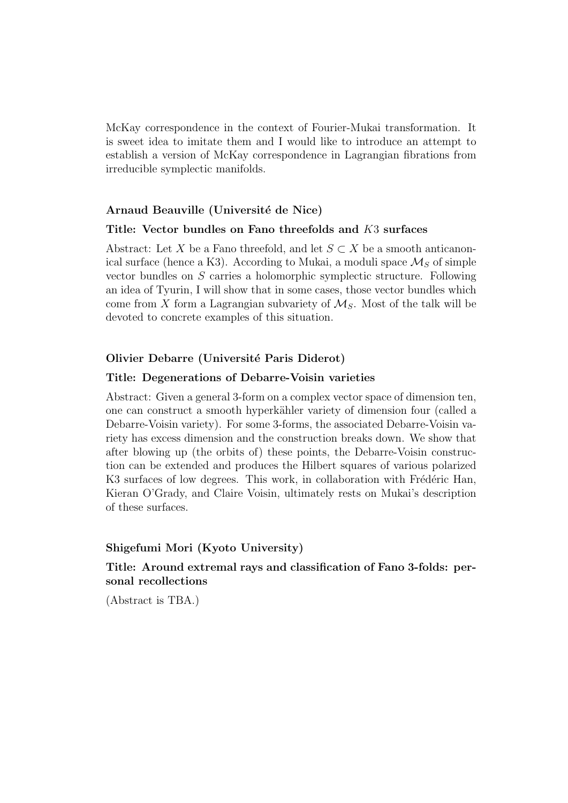McKay correspondence in the context of Fourier-Mukai transformation. It is sweet idea to imitate them and I would like to introduce an attempt to establish a version of McKay correspondence in Lagrangian fibrations from irreducible symplectic manifolds.

# Arnaud Beauville (Université de Nice)

#### **Title: Vector bundles on Fano threefolds and** *K*3 **surfaces**

Abstract: Let *X* be a Fano threefold, and let  $S \subset X$  be a smooth anticanonical surface (hence a K3). According to Mukai, a moduli space  $\mathcal{M}_S$  of simple vector bundles on *S* carries a holomorphic symplectic structure. Following an idea of Tyurin, I will show that in some cases, those vector bundles which come from X form a Lagrangian subvariety of  $\mathcal{M}_S$ . Most of the talk will be devoted to concrete examples of this situation.

### **Olivier Debarre (Universit´e Paris Diderot)**

#### **Title: Degenerations of Debarre-Voisin varieties**

Abstract: Given a general 3-form on a complex vector space of dimension ten, one can construct a smooth hyperkähler variety of dimension four (called a Debarre-Voisin variety). For some 3-forms, the associated Debarre-Voisin variety has excess dimension and the construction breaks down. We show that after blowing up (the orbits of) these points, the Debarre-Voisin construction can be extended and produces the Hilbert squares of various polarized K3 surfaces of low degrees. This work, in collaboration with Frédéric Han, Kieran O'Grady, and Claire Voisin, ultimately rests on Mukai's description of these surfaces.

# **Shigefumi Mori (Kyoto University)**

# **Title: Around extremal rays and classification of Fano 3-folds: personal recollections**

(Abstract is TBA.)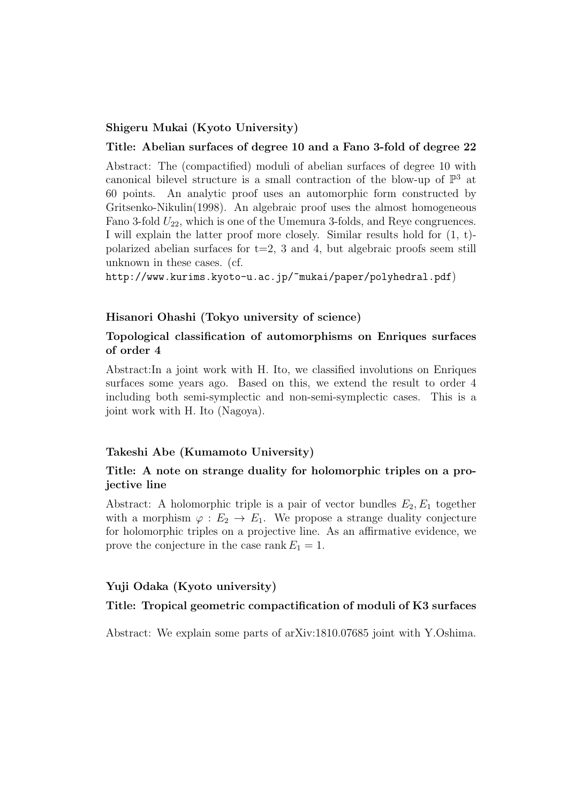# **Shigeru Mukai (Kyoto University)**

### **Title: Abelian surfaces of degree 10 and a Fano 3-fold of degree 22**

Abstract: The (compactified) moduli of abelian surfaces of degree 10 with canonical bilevel structure is a small contraction of the blow-up of  $\mathbb{P}^3$  at 60 points. An analytic proof uses an automorphic form constructed by Gritsenko-Nikulin(1998). An algebraic proof uses the almost homogeneous Fano 3-fold  $U_{22}$ , which is one of the Umemura 3-folds, and Reye congruences. I will explain the latter proof more closely. Similar results hold for (1, t) polarized abelian surfaces for  $t=2$ , 3 and 4, but algebraic proofs seem still unknown in these cases. (cf.

http://www.kurims.kyoto-u.ac.jp/~mukai/paper/polyhedral.pdf)

# **Hisanori Ohashi (Tokyo university of science)**

# **Topological classification of automorphisms on Enriques surfaces of order 4**

Abstract:In a joint work with H. Ito, we classified involutions on Enriques surfaces some years ago. Based on this, we extend the result to order 4 including both semi-symplectic and non-semi-symplectic cases. This is a joint work with H. Ito (Nagoya).

#### **Takeshi Abe (Kumamoto University)**

# **Title: A note on strange duality for holomorphic triples on a projective line**

Abstract: A holomorphic triple is a pair of vector bundles  $E_2, E_1$  together with a morphism  $\varphi : E_2 \to E_1$ . We propose a strange duality conjecture for holomorphic triples on a projective line. As an affirmative evidence, we prove the conjecture in the case rank  $E_1 = 1$ .

#### **Yuji Odaka (Kyoto university)**

#### **Title: Tropical geometric compactification of moduli of K3 surfaces**

Abstract: We explain some parts of arXiv:1810.07685 joint with Y.Oshima.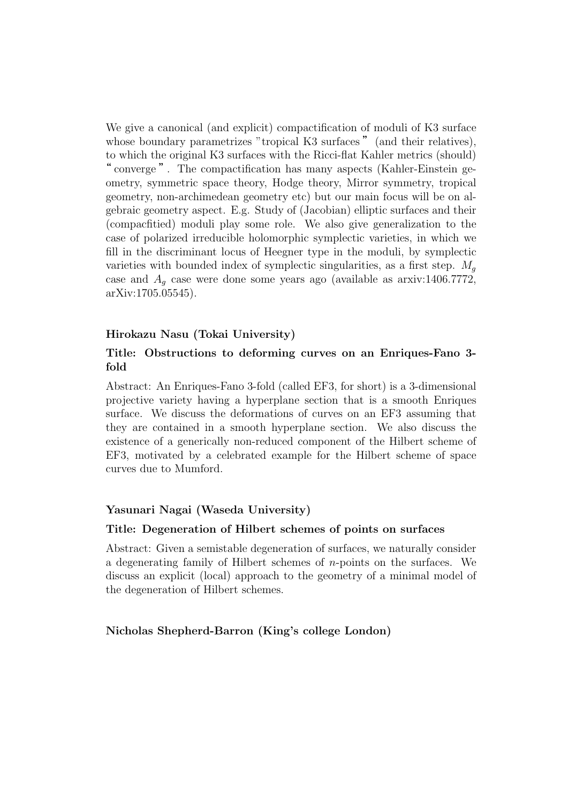We give a canonical (and explicit) compactification of moduli of K3 surface whose boundary parametrizes "tropical K3 surfaces" (and their relatives), to which the original K3 surfaces with the Ricci-flat Kahler metrics (should) " converge ". The compactification has many aspects (Kahler-Einstein geometry, symmetric space theory, Hodge theory, Mirror symmetry, tropical geometry, non-archimedean geometry etc) but our main focus will be on algebraic geometry aspect. E.g. Study of (Jacobian) elliptic surfaces and their (compacfitied) moduli play some role. We also give generalization to the case of polarized irreducible holomorphic symplectic varieties, in which we fill in the discriminant locus of Heegner type in the moduli, by symplectic varieties with bounded index of symplectic singularities, as a first step.  $M<sub>g</sub>$ case and  $A_q$  case were done some years ago (available as arxiv:1406.7772, arXiv:1705.05545).

# **Hirokazu Nasu (Tokai University)**

# **Title: Obstructions to deforming curves on an Enriques-Fano 3 fold**

Abstract: An Enriques-Fano 3-fold (called EF3, for short) is a 3-dimensional projective variety having a hyperplane section that is a smooth Enriques surface. We discuss the deformations of curves on an EF3 assuming that they are contained in a smooth hyperplane section. We also discuss the existence of a generically non-reduced component of the Hilbert scheme of EF3, motivated by a celebrated example for the Hilbert scheme of space curves due to Mumford.

# **Yasunari Nagai (Waseda University)**

# **Title: Degeneration of Hilbert schemes of points on surfaces**

Abstract: Given a semistable degeneration of surfaces, we naturally consider a degenerating family of Hilbert schemes of *n*-points on the surfaces. We discuss an explicit (local) approach to the geometry of a minimal model of the degeneration of Hilbert schemes.

# **Nicholas Shepherd-Barron (King's college London)**